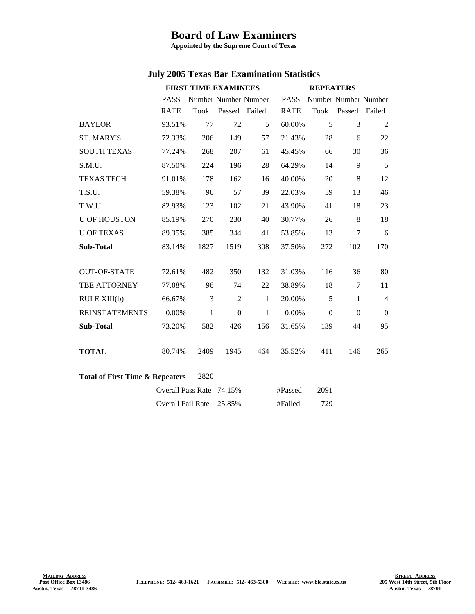## **Board of Law Examiners**

**Appointed by the Supreme Court of Texas**

## **July 2005 Texas Bar Examination Statistics**

|                                                    | <b>FIRST TIME EXAMINEES</b> |              |                      | <b>REPEATERS</b> |             |                |                      |                |
|----------------------------------------------------|-----------------------------|--------------|----------------------|------------------|-------------|----------------|----------------------|----------------|
|                                                    | <b>PASS</b>                 |              | Number Number Number |                  | <b>PASS</b> |                | Number Number Number |                |
|                                                    | <b>RATE</b>                 | Took         | Passed Failed        |                  | <b>RATE</b> | Took           | Passed Failed        |                |
| <b>BAYLOR</b>                                      | 93.51%                      | 77           | 72                   | 5                | 60.00%      | 5              | 3                    | 2              |
| <b>ST. MARY'S</b>                                  | 72.33%                      | 206          | 149                  | 57               | 21.43%      | 28             | 6                    | 22             |
| <b>SOUTH TEXAS</b>                                 | 77.24%                      | 268          | 207                  | 61               | 45.45%      | 66             | 30                   | 36             |
| S.M.U.                                             | 87.50%                      | 224          | 196                  | 28               | 64.29%      | 14             | 9                    | 5              |
| <b>TEXAS TECH</b>                                  | 91.01%                      | 178          | 162                  | 16               | 40.00%      | 20             | $\,8$                | 12             |
| T.S.U.                                             | 59.38%                      | 96           | 57                   | 39               | 22.03%      | 59             | 13                   | 46             |
| T.W.U.                                             | 82.93%                      | 123          | 102                  | 21               | 43.90%      | 41             | 18                   | 23             |
| <b>U OF HOUSTON</b>                                | 85.19%                      | 270          | 230                  | 40               | 30.77%      | 26             | 8                    | 18             |
| <b>U OF TEXAS</b>                                  | 89.35%                      | 385          | 344                  | 41               | 53.85%      | 13             | $\tau$               | 6              |
| <b>Sub-Total</b>                                   | 83.14%                      | 1827         | 1519                 | 308              | 37.50%      | 272            | 102                  | 170            |
|                                                    |                             |              |                      |                  |             |                |                      |                |
| <b>OUT-OF-STATE</b>                                | 72.61%                      | 482          | 350                  | 132              | 31.03%      | 116            | 36                   | 80             |
| TBE ATTORNEY                                       | 77.08%                      | 96           | 74                   | 22               | 38.89%      | 18             | $\tau$               | 11             |
| RULE XIII(b)                                       | 66.67%                      | 3            | 2                    | $\mathbf{1}$     | 20.00%      | 5              | $\mathbf{1}$         | $\overline{4}$ |
| <b>REINSTATEMENTS</b>                              | $0.00\%$                    | $\mathbf{1}$ | $\boldsymbol{0}$     | $\mathbf{1}$     | 0.00%       | $\overline{0}$ | $\Omega$             | $\overline{0}$ |
| <b>Sub-Total</b>                                   | 73.20%                      | 582          | 426                  | 156              | 31.65%      | 139            | 44                   | 95             |
|                                                    |                             |              |                      |                  |             |                |                      |                |
| <b>TOTAL</b>                                       | 80.74%                      | 2409         | 1945                 | 464              | 35.52%      | 411            | 146                  | 265            |
|                                                    |                             |              |                      |                  |             |                |                      |                |
| <b>Total of First Time &amp; Repeaters</b><br>2820 |                             |              |                      |                  |             |                |                      |                |
|                                                    | Overall Pass Rate 74.15%    |              |                      |                  | #Passed     | 2091           |                      |                |
|                                                    | Overall Fail Rate           |              | 25.85%               |                  | #Failed     | 729            |                      |                |